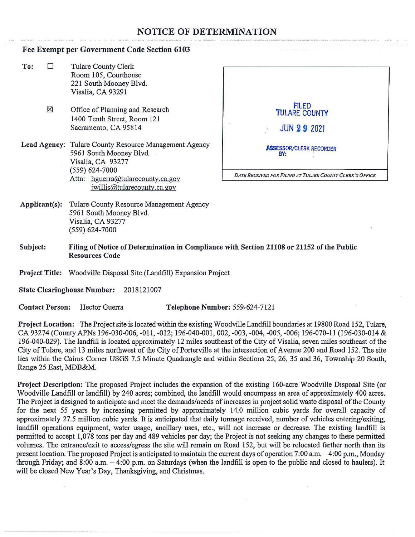## **NOTICE OF DETERMINATION**

## **Fee Exempt per Government Code Section 6103**

- To:  $\Box$  Tulare County Clerk Room 105, Courthouse 221 South Mooney Blvd. Visalia, CA 93291
	- $\boxtimes$  Office of Planning and Research 1400 Tenth Street, Room 121 Sacramento, CA 95814
- **Lead Agency:** Tulare County Resource Management Agency 5961 South Mooney Blvd. Visalia, CA 93277 (559) 624-7000 Attn: hguerra@tularecounty.ca.gov jwillis@tularecounty.ca.gov



- **Applicant(s):** Tulare County Resource Management Agency 5961 South Mooney Blvd. Visalia, CA 93277 (559) 624-7000
- **Subject: Filing of Notice of Determination in Compliance with Section 21108 or 21152 of the Public Resources Code**

**Project Title:** Woodville Disposal Site {Landfill) Expansion Project

**State Clearinghouse Number:** 2018121007

**Contact Person:** Hector Guerra **Telephone Number:** 559r624-7121

**Project Location:** The Project site is located within the existing Woodville Landfill boundaries at 19800 Road 152, Tulare, CA 93274 (County APNs 196-030-006, -011, -012; 196-040-001, 002, -003, -004, -005, -006; 196-070-11 (196-030-014 & 196-040-029). The landfill is located approximately 12 miles southeast of the City of Visalia, seven miles southeast of the City of Tulare, and 13 miles northwest of the City of Porterville at the intersection of Avenue 200 and Road 152. The site lies within the Cairns Comer USGS 7.5 Minute Quadrangle and within Sections 25, 26, 35 and 36, Township 20 South, Range 25 East, MDB&M.

**Project Description:** The proposed Project includes the expansion of the existing 160-acre Woodville Disposal Site (or Woodville Landfill or landfill) by 240 acres; combined, the landfill would encompass an area of approximately 400 acres. The Project is designed to anticipate and meet the demands/needs of increases in project solid waste disposal of the County for the next 55 years by increasing permitted by approximately 14.0 million cubic yards for overall capacity of approximately 27.5 million cubic yards. It is anticipated that daily tonnage received, number of vehicles entering/exiting, landfill operations equipment, water usage, ancillary uses, etc., will not increase or decrease. The existing landfill is permitted to accept 1,078 tons per day and 489 vehicles per day; the Project is not seeking any changes to these permitted volumes. The entrance/exit to access/egress the site will remain on Road 152, but will be relocated farther north than its present location. The proposed Project is anticipated to maintain the current days of operation 7:00 a.m.  $-4:00$  p.m., Monday through Friday; and 8:00 a.m. - 4:00 p.m. on Saturdays (when the landfill is open to the public and closed to haulers). It will be closed New Year's Day, Thanksgiving, and Christmas.